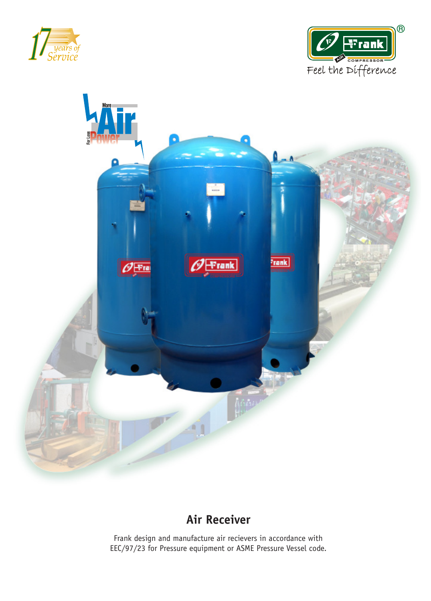





## **Air Receiver**

Frank design and manufacture air recievers in accordance with EEC/97/23 for Pressure equipment or ASME Pressure Vessel code.